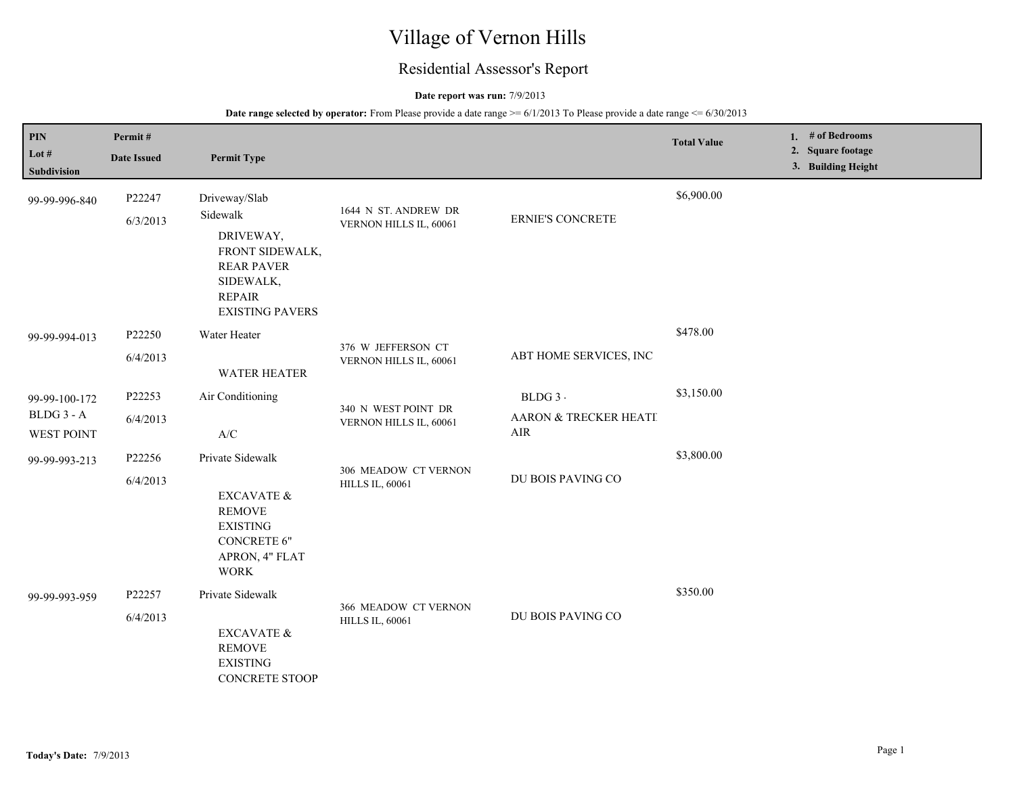# Village of Vernon Hills

## Residential Assessor's Report

### **Date report was run:** 7/9/2013

| PIN<br>Lot $#$<br>Subdivision                    | Permit#<br><b>Date Issued</b> | <b>Permit Type</b>                                                                                                                     |                                                |                                          | <b>Total Value</b> | 1. # of Bedrooms<br>2. Square footage<br>3. Building Height |
|--------------------------------------------------|-------------------------------|----------------------------------------------------------------------------------------------------------------------------------------|------------------------------------------------|------------------------------------------|--------------------|-------------------------------------------------------------|
| 99-99-996-840                                    | P22247<br>6/3/2013            | Driveway/Slab<br>Sidewalk<br>DRIVEWAY,<br>FRONT SIDEWALK,<br><b>REAR PAVER</b><br>SIDEWALK,<br><b>REPAIR</b><br><b>EXISTING PAVERS</b> | 1644 N ST. ANDREW DR<br>VERNON HILLS IL, 60061 | <b>ERNIE'S CONCRETE</b>                  | \$6,900.00         |                                                             |
| 99-99-994-013                                    | P22250<br>6/4/2013            | Water Heater<br><b>WATER HEATER</b>                                                                                                    | 376 W JEFFERSON CT<br>VERNON HILLS IL, 60061   | ABT HOME SERVICES, INC                   | \$478.00           |                                                             |
| 99-99-100-172<br>BLDG 3 - A<br><b>WEST POINT</b> | P22253<br>6/4/2013            | Air Conditioning<br>$\ensuremath{\mathsf{A}}\xspace/\ensuremath{\mathsf{C}}\xspace$                                                    | 340 N WEST POINT DR<br>VERNON HILLS IL, 60061  | BLDG 3 -<br>AARON & TRECKER HEATI<br>AIR | \$3,150.00         |                                                             |
| 99-99-993-213                                    | P22256<br>6/4/2013            | Private Sidewalk<br>EXCAVATE &<br><b>REMOVE</b><br><b>EXISTING</b><br><b>CONCRETE 6"</b><br>APRON, 4" FLAT<br><b>WORK</b>              | 306 MEADOW CT VERNON<br><b>HILLS IL, 60061</b> | DU BOIS PAVING CO                        | \$3,800.00         |                                                             |
| 99-99-993-959                                    | P22257<br>6/4/2013            | Private Sidewalk<br>EXCAVATE &<br><b>REMOVE</b><br><b>EXISTING</b><br><b>CONCRETE STOOP</b>                                            | 366 MEADOW CT VERNON<br><b>HILLS IL, 60061</b> | DU BOIS PAVING CO                        | \$350.00           |                                                             |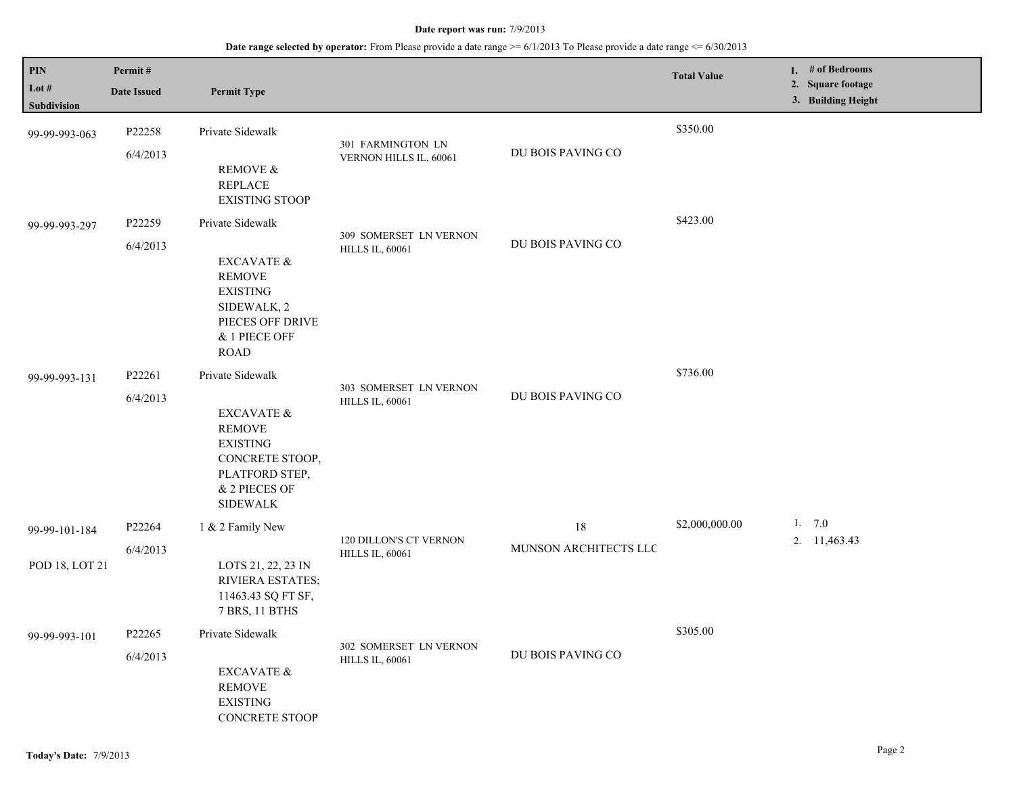| PIN<br>Lot $#$                  | Permit#<br><b>Date Issued</b> | <b>Permit Type</b>                                                                                                                                     |                                                  |                             | <b>Total Value</b> | 1. # of Bedrooms<br>2. Square footage<br>3. Building Height |
|---------------------------------|-------------------------------|--------------------------------------------------------------------------------------------------------------------------------------------------------|--------------------------------------------------|-----------------------------|--------------------|-------------------------------------------------------------|
| Subdivision<br>99-99-993-063    | P22258<br>6/4/2013            | Private Sidewalk<br><b>REMOVE &amp;</b><br><b>REPLACE</b><br><b>EXISTING STOOP</b>                                                                     | 301 FARMINGTON LN<br>VERNON HILLS IL, 60061      | DU BOIS PAVING CO           | \$350.00           |                                                             |
| 99-99-993-297                   | P22259<br>6/4/2013            | Private Sidewalk<br><b>EXCAVATE &amp;</b><br><b>REMOVE</b><br><b>EXISTING</b><br>SIDEWALK, 2<br>PIECES OFF DRIVE<br>& 1 PIECE OFF<br><b>ROAD</b>       | 309 SOMERSET LN VERNON<br><b>HILLS IL, 60061</b> | DU BOIS PAVING CO           | \$423.00           |                                                             |
| 99-99-993-131                   | P22261<br>6/4/2013            | Private Sidewalk<br><b>EXCAVATE &amp;</b><br><b>REMOVE</b><br><b>EXISTING</b><br>CONCRETE STOOP,<br>PLATFORD STEP,<br>& 2 PIECES OF<br><b>SIDEWALK</b> | 303 SOMERSET LN VERNON<br><b>HILLS IL, 60061</b> | DU BOIS PAVING CO           | \$736.00           |                                                             |
| 99-99-101-184<br>POD 18, LOT 21 | P22264<br>6/4/2013            | 1 & 2 Family New<br>LOTS 21, 22, 23 IN<br><b>RIVIERA ESTATES;</b><br>11463.43 SQ FT SF,<br>7 BRS, 11 BTHS                                              | 120 DILLON'S CT VERNON<br><b>HILLS IL, 60061</b> | 18<br>MUNSON ARCHITECTS LLC | \$2,000,000.00     | 1. $7.0$<br>2. 11,463.43                                    |
| 99-99-993-101                   | P22265<br>6/4/2013            | Private Sidewalk<br><b>EXCAVATE &amp;</b><br><b>REMOVE</b><br><b>EXISTING</b><br><b>CONCRETE STOOP</b>                                                 | 302 SOMERSET LN VERNON<br><b>HILLS IL, 60061</b> | DU BOIS PAVING CO           | \$305.00           |                                                             |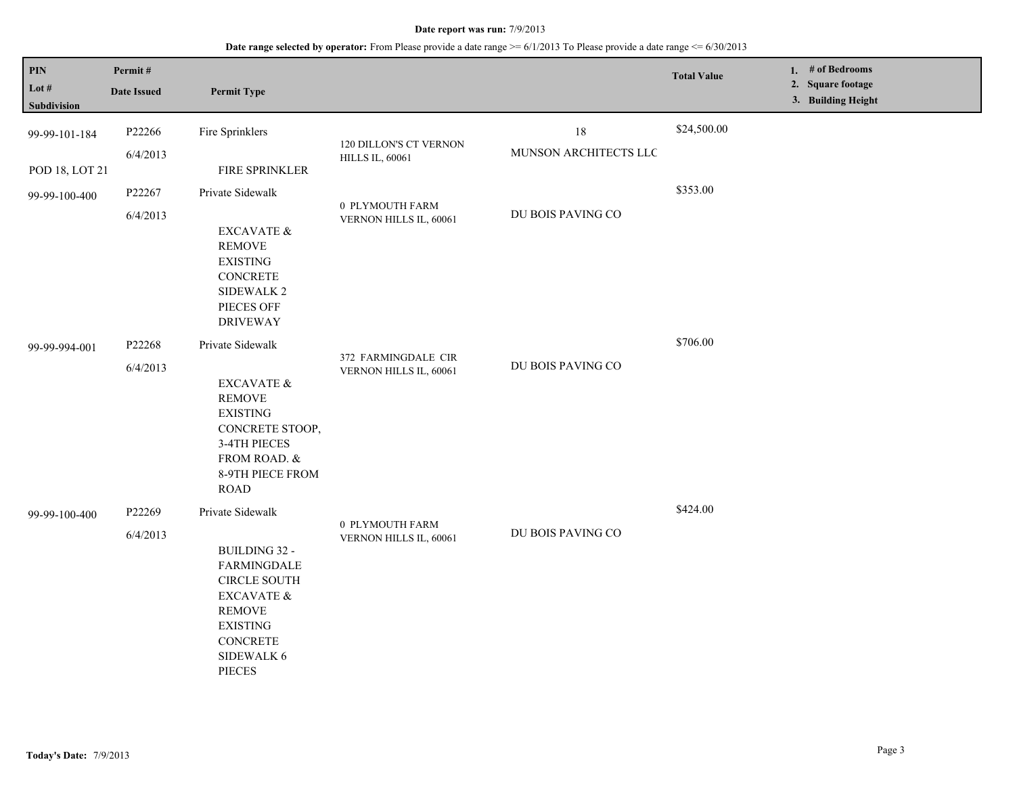| PIN                    | Permit#            |                                                                                                                                                                             |                                                  |                             | <b>Total Value</b> | 1. $#$ of Bedrooms<br>2. Square footage |
|------------------------|--------------------|-----------------------------------------------------------------------------------------------------------------------------------------------------------------------------|--------------------------------------------------|-----------------------------|--------------------|-----------------------------------------|
| Lot $#$<br>Subdivision | <b>Date Issued</b> | <b>Permit Type</b>                                                                                                                                                          |                                                  |                             |                    | 3. Building Height                      |
| 99-99-101-184          | P22266<br>6/4/2013 | Fire Sprinklers                                                                                                                                                             | 120 DILLON'S CT VERNON<br><b>HILLS IL, 60061</b> | 18<br>MUNSON ARCHITECTS LLC | \$24,500.00        |                                         |
| POD 18, LOT 21         |                    | FIRE SPRINKLER                                                                                                                                                              |                                                  |                             |                    |                                         |
| 99-99-100-400          | P22267<br>6/4/2013 | Private Sidewalk<br>EXCAVATE &<br><b>REMOVE</b><br><b>EXISTING</b><br><b>CONCRETE</b><br>SIDEWALK 2<br>PIECES OFF                                                           | 0 PLYMOUTH FARM<br>VERNON HILLS IL, 60061        | DU BOIS PAVING CO           | \$353.00           |                                         |
| 99-99-994-001          | P22268<br>6/4/2013 | <b>DRIVEWAY</b><br>Private Sidewalk<br>EXCAVATE &<br><b>REMOVE</b><br><b>EXISTING</b><br>CONCRETE STOOP,<br>3-4TH PIECES<br>FROM ROAD. &<br>8-9TH PIECE FROM<br><b>ROAD</b> | 372 FARMINGDALE CIR<br>VERNON HILLS IL, 60061    | DU BOIS PAVING CO           | \$706.00           |                                         |
| 99-99-100-400          | P22269<br>6/4/2013 | Private Sidewalk<br>BUILDING 32 -<br><b>FARMINGDALE</b><br><b>CIRCLE SOUTH</b><br>EXCAVATE &<br><b>REMOVE</b><br><b>EXISTING</b><br><b>CONCRETE</b><br>SIDEWALK 6<br>PIECES | 0 PLYMOUTH FARM<br>VERNON HILLS IL, 60061        | DU BOIS PAVING CO           | \$424.00           |                                         |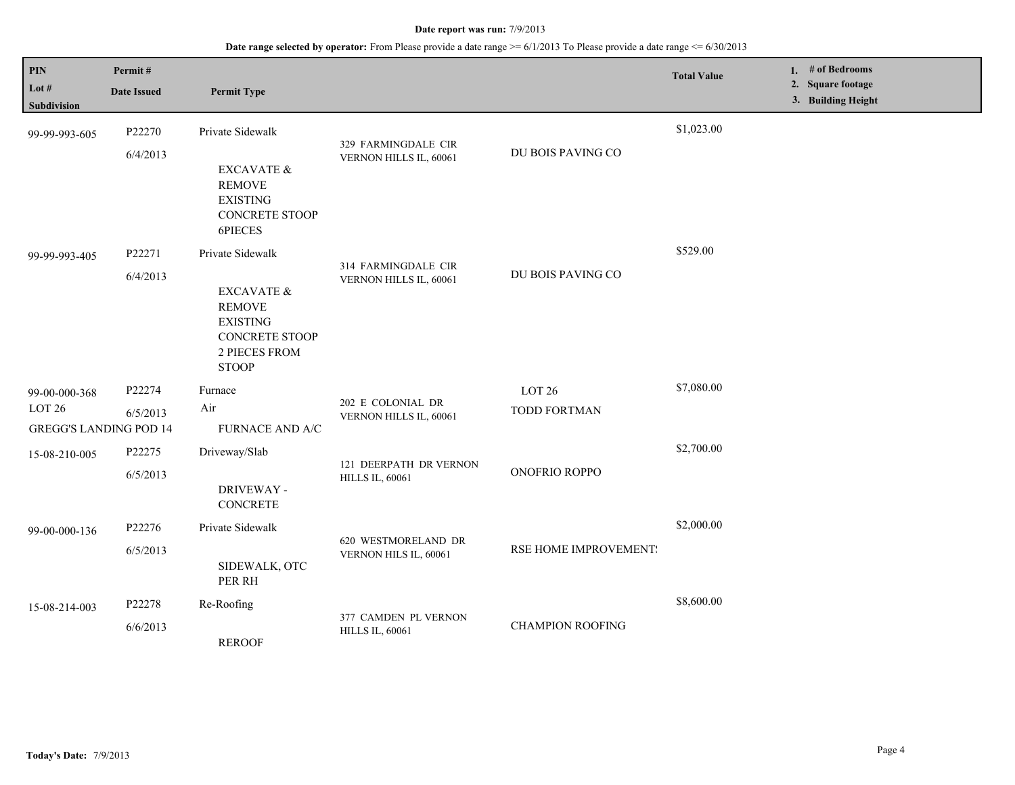| PIN<br>Lot #<br><b>Subdivision</b>                                  | Permit#<br><b>Date Issued</b> | <b>Permit Type</b>                                                                                                                                 |                                                  |                                          | <b>Total Value</b> | 1. # of Bedrooms<br>2. Square footage<br>3. Building Height |
|---------------------------------------------------------------------|-------------------------------|----------------------------------------------------------------------------------------------------------------------------------------------------|--------------------------------------------------|------------------------------------------|--------------------|-------------------------------------------------------------|
| 99-99-993-605                                                       | P22270<br>6/4/2013            | Private Sidewalk<br><b>EXCAVATE &amp;</b><br><b>REMOVE</b><br><b>EXISTING</b><br><b>CONCRETE STOOP</b>                                             | 329 FARMINGDALE CIR<br>VERNON HILLS IL, 60061    | DU BOIS PAVING CO                        | \$1,023.00         |                                                             |
| 99-99-993-405                                                       | P22271<br>6/4/2013            | 6PIECES<br>Private Sidewalk<br><b>EXCAVATE &amp;</b><br><b>REMOVE</b><br><b>EXISTING</b><br><b>CONCRETE STOOP</b><br>2 PIECES FROM<br><b>STOOP</b> | 314 FARMINGDALE CIR<br>VERNON HILLS IL, 60061    | DU BOIS PAVING CO                        | \$529.00           |                                                             |
| 99-00-000-368<br>LOT <sub>26</sub><br><b>GREGG'S LANDING POD 14</b> | P22274<br>6/5/2013            | Furnace<br>Air<br><b>FURNACE AND A/C</b>                                                                                                           | 202 E COLONIAL DR<br>VERNON HILLS IL, 60061      | LOT <sub>26</sub><br><b>TODD FORTMAN</b> | \$7,080.00         |                                                             |
| 15-08-210-005                                                       | P22275<br>6/5/2013            | Driveway/Slab<br>DRIVEWAY -<br><b>CONCRETE</b>                                                                                                     | 121 DEERPATH DR VERNON<br><b>HILLS IL, 60061</b> | ONOFRIO ROPPO                            | \$2,700.00         |                                                             |
| 99-00-000-136                                                       | P22276<br>6/5/2013            | Private Sidewalk<br>SIDEWALK, OTC<br>PER RH                                                                                                        | 620 WESTMORELAND DR<br>VERNON HILS IL, 60061     | RSE HOME IMPROVEMENT:                    | \$2,000.00         |                                                             |
| 15-08-214-003                                                       | P22278<br>6/6/2013            | Re-Roofing<br><b>REROOF</b>                                                                                                                        | 377 CAMDEN PL VERNON<br><b>HILLS IL, 60061</b>   | <b>CHAMPION ROOFING</b>                  | \$8,600.00         |                                                             |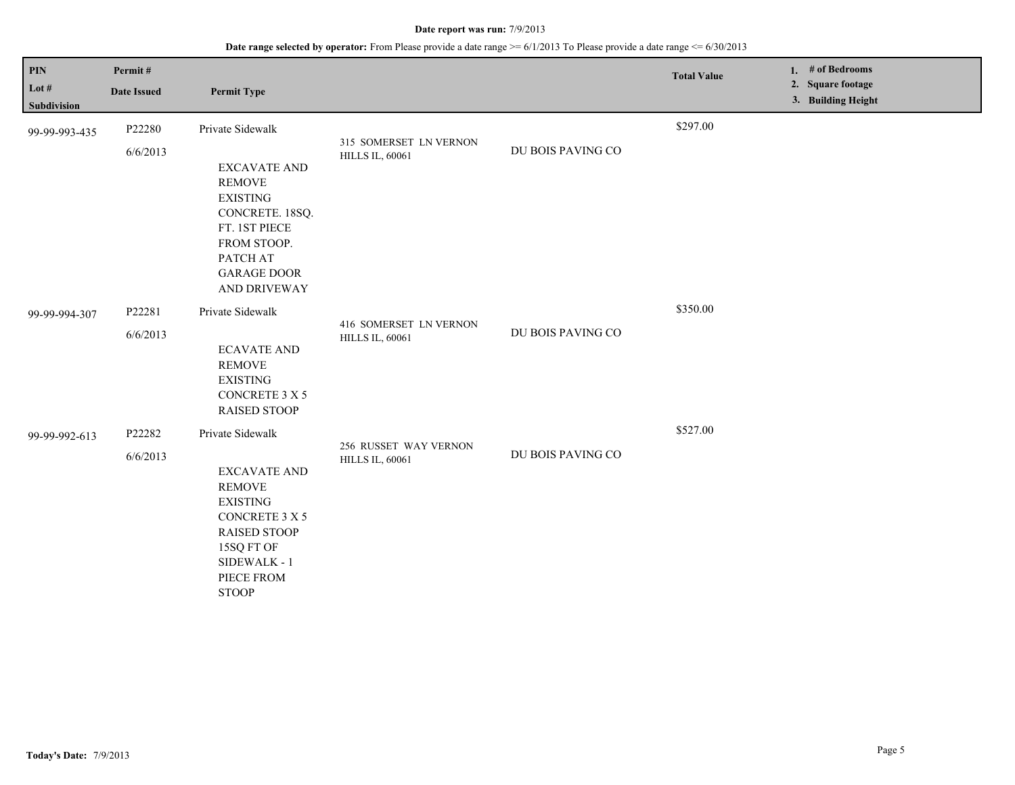| <b>PIN</b><br>Lot $#$<br><b>Subdivision</b> | Permit#<br><b>Date Issued</b> | <b>Permit Type</b>                                                                                                                                                                      |                                                  |                   | <b>Total Value</b> | 1. # of Bedrooms<br>2. Square footage<br>3. Building Height |
|---------------------------------------------|-------------------------------|-----------------------------------------------------------------------------------------------------------------------------------------------------------------------------------------|--------------------------------------------------|-------------------|--------------------|-------------------------------------------------------------|
| 99-99-993-435                               | P22280<br>6/6/2013            | Private Sidewalk<br><b>EXCAVATE AND</b><br><b>REMOVE</b><br><b>EXISTING</b><br>CONCRETE. 18SQ.<br>FT. 1ST PIECE<br>FROM STOOP.<br>PATCH AT<br><b>GARAGE DOOR</b><br>AND DRIVEWAY        | 315 SOMERSET LN VERNON<br><b>HILLS IL, 60061</b> | DU BOIS PAVING CO | \$297.00           |                                                             |
| 99-99-994-307                               | P22281<br>6/6/2013            | Private Sidewalk<br><b>ECAVATE AND</b><br><b>REMOVE</b><br><b>EXISTING</b><br>CONCRETE 3 X 5<br><b>RAISED STOOP</b>                                                                     | 416 SOMERSET LN VERNON<br><b>HILLS IL, 60061</b> | DU BOIS PAVING CO | \$350.00           |                                                             |
| 99-99-992-613                               | P22282<br>6/6/2013            | Private Sidewalk<br><b>EXCAVATE AND</b><br><b>REMOVE</b><br><b>EXISTING</b><br><b>CONCRETE 3 X 5</b><br><b>RAISED STOOP</b><br>15SQ FT OF<br>SIDEWALK - 1<br>PIECE FROM<br><b>STOOP</b> | 256 RUSSET WAY VERNON<br><b>HILLS IL, 60061</b>  | DU BOIS PAVING CO | \$527.00           |                                                             |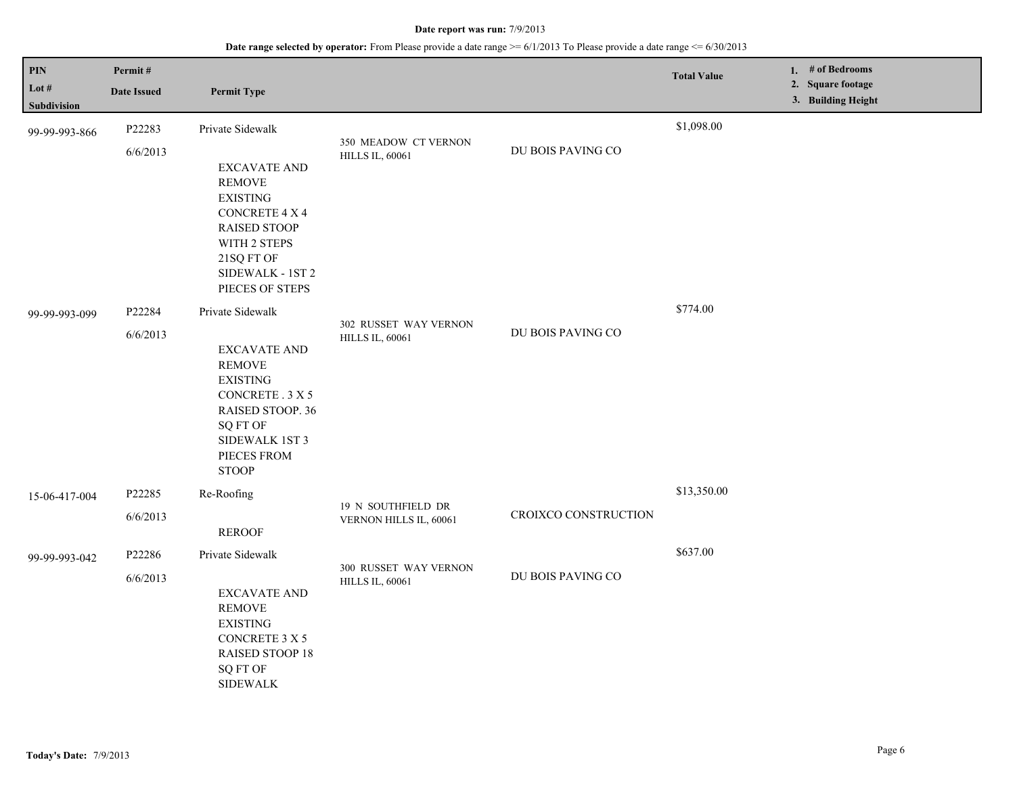| <b>PIN</b>             | Permit#            |                                                                                                                                                                                                  |                                                 |                      | <b>Total Value</b> | 1. # of Bedrooms<br>2. Square footage |
|------------------------|--------------------|--------------------------------------------------------------------------------------------------------------------------------------------------------------------------------------------------|-------------------------------------------------|----------------------|--------------------|---------------------------------------|
| Lot $#$<br>Subdivision | <b>Date Issued</b> | <b>Permit Type</b>                                                                                                                                                                               |                                                 |                      |                    | 3. Building Height                    |
| 99-99-993-866          | P22283             | Private Sidewalk                                                                                                                                                                                 | 350 MEADOW CT VERNON                            |                      | \$1,098.00         |                                       |
| 99-99-993-099          | 6/6/2013<br>P22284 | <b>EXCAVATE AND</b><br><b>REMOVE</b><br><b>EXISTING</b><br><b>CONCRETE 4 X 4</b><br><b>RAISED STOOP</b><br>WITH 2 STEPS<br>21SQ FT OF<br>SIDEWALK - 1ST 2<br>PIECES OF STEPS<br>Private Sidewalk | <b>HILLS IL, 60061</b><br>302 RUSSET WAY VERNON | DU BOIS PAVING CO    | \$774.00           |                                       |
|                        | 6/6/2013           | <b>EXCAVATE AND</b><br><b>REMOVE</b><br><b>EXISTING</b><br>CONCRETE . 3 X 5<br>RAISED STOOP. 36<br><b>SQ FT OF</b><br>SIDEWALK 1ST 3<br>PIECES FROM<br><b>STOOP</b>                              | <b>HILLS IL, 60061</b>                          | DU BOIS PAVING CO    |                    |                                       |
| 15-06-417-004          | P22285             | Re-Roofing                                                                                                                                                                                       | 19 N SOUTHFIELD DR                              |                      | \$13,350.00        |                                       |
|                        | 6/6/2013           | <b>REROOF</b>                                                                                                                                                                                    | VERNON HILLS IL, 60061                          | CROIXCO CONSTRUCTION |                    |                                       |
| 99-99-993-042          | P22286             | Private Sidewalk                                                                                                                                                                                 | 300 RUSSET WAY VERNON                           |                      | \$637.00           |                                       |
|                        | 6/6/2013           | <b>EXCAVATE AND</b><br><b>REMOVE</b><br><b>EXISTING</b><br>CONCRETE 3 X 5<br>RAISED STOOP 18<br><b>SQ FT OF</b><br><b>SIDEWALK</b>                                                               | <b>HILLS IL, 60061</b>                          | DU BOIS PAVING CO    |                    |                                       |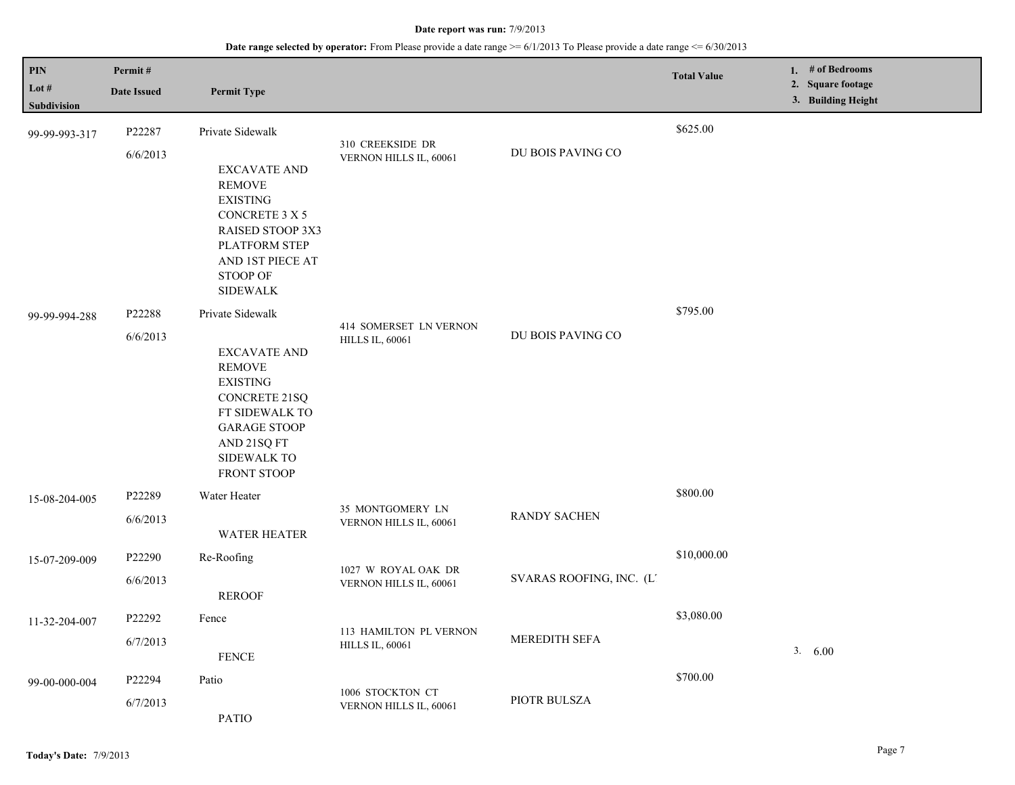| PIN<br>Lot #<br>Subdivision | Permit#<br><b>Date Issued</b> | <b>Permit Type</b>                                                                                                                                                                               |                                                  |                          | <b>Total Value</b> | 1. # of Bedrooms<br>2. Square footage<br>3. Building Height |
|-----------------------------|-------------------------------|--------------------------------------------------------------------------------------------------------------------------------------------------------------------------------------------------|--------------------------------------------------|--------------------------|--------------------|-------------------------------------------------------------|
| 99-99-993-317               | P22287<br>6/6/2013            | Private Sidewalk<br><b>EXCAVATE AND</b><br><b>REMOVE</b><br><b>EXISTING</b><br>CONCRETE 3 X 5<br>RAISED STOOP 3X3<br>PLATFORM STEP<br>AND 1ST PIECE AT<br>STOOP OF<br><b>SIDEWALK</b>            | 310 CREEKSIDE DR<br>VERNON HILLS IL, 60061       | DU BOIS PAVING CO        | \$625.00           |                                                             |
| 99-99-994-288               | P22288<br>6/6/2013            | Private Sidewalk<br><b>EXCAVATE AND</b><br><b>REMOVE</b><br><b>EXISTING</b><br><b>CONCRETE 21SQ</b><br>FT SIDEWALK TO<br><b>GARAGE STOOP</b><br>AND 21SQ FT<br><b>SIDEWALK TO</b><br>FRONT STOOP | 414 SOMERSET LN VERNON<br><b>HILLS IL, 60061</b> | DU BOIS PAVING CO        | \$795.00           |                                                             |
| 15-08-204-005               | P22289<br>6/6/2013            | Water Heater<br><b>WATER HEATER</b>                                                                                                                                                              | 35 MONTGOMERY LN<br>VERNON HILLS IL, 60061       | <b>RANDY SACHEN</b>      | \$800.00           |                                                             |
| 15-07-209-009               | P22290<br>6/6/2013            | Re-Roofing<br><b>REROOF</b>                                                                                                                                                                      | 1027 W ROYAL OAK DR<br>VERNON HILLS IL, 60061    | SVARAS ROOFING, INC. (L. | \$10,000.00        |                                                             |
| 11-32-204-007               | P22292<br>6/7/2013            | Fence<br><b>FENCE</b>                                                                                                                                                                            | 113 HAMILTON PL VERNON<br><b>HILLS IL, 60061</b> | MEREDITH SEFA            | \$3,080.00         | 3.600                                                       |
| 99-00-000-004               | P22294<br>6/7/2013            | Patio<br><b>PATIO</b>                                                                                                                                                                            | 1006 STOCKTON CT<br>VERNON HILLS IL, 60061       | PIOTR BULSZA             | \$700.00           |                                                             |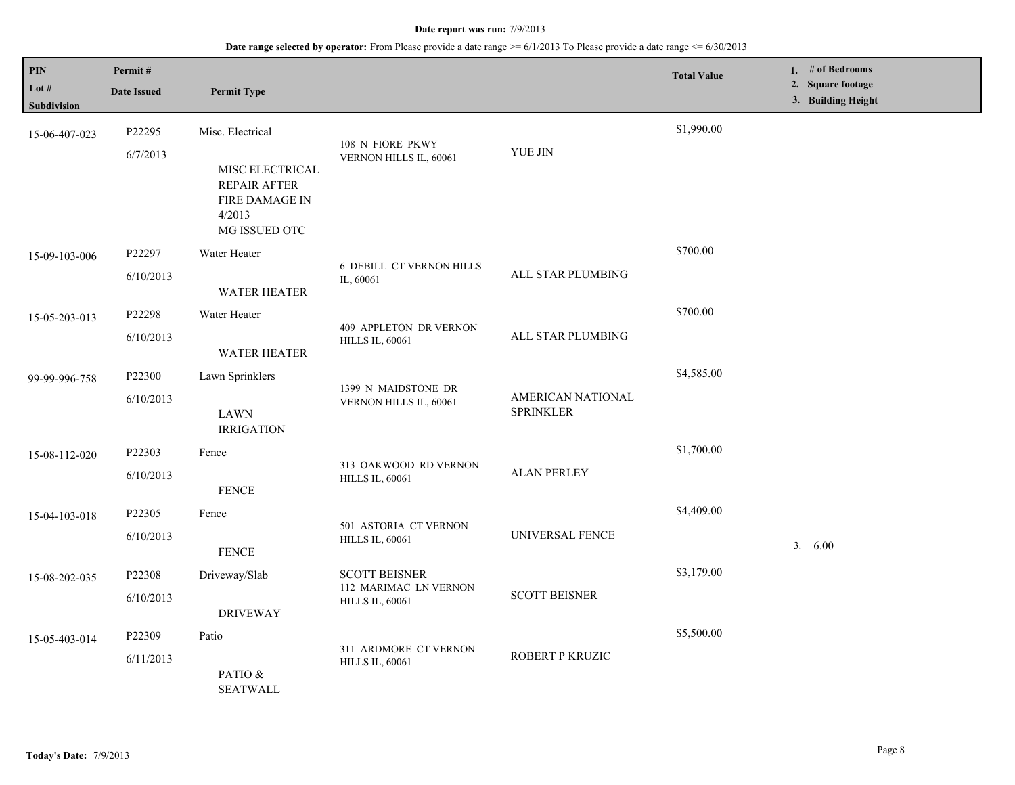| PIN<br>Lot $#$<br><b>Subdivision</b> | Permit#<br><b>Date Issued</b> | <b>Permit Type</b>                                                                                      |                                                                         |                                       | <b>Total Value</b> | 1. # of Bedrooms<br>2. Square footage<br>3. Building Height |
|--------------------------------------|-------------------------------|---------------------------------------------------------------------------------------------------------|-------------------------------------------------------------------------|---------------------------------------|--------------------|-------------------------------------------------------------|
| 15-06-407-023                        | P22295<br>6/7/2013            | Misc. Electrical<br>MISC ELECTRICAL<br><b>REPAIR AFTER</b><br>FIRE DAMAGE IN<br>4/2013<br>MG ISSUED OTC | 108 N FIORE PKWY<br>VERNON HILLS IL, 60061                              | ${\it YUE}$ JIN                       | \$1,990.00         |                                                             |
| 15-09-103-006                        | P22297<br>6/10/2013           | Water Heater<br>WATER HEATER                                                                            | <b>6 DEBILL CT VERNON HILLS</b><br>IL, 60061                            | ALL STAR PLUMBING                     | \$700.00           |                                                             |
| 15-05-203-013                        | P22298<br>6/10/2013           | Water Heater<br><b>WATER HEATER</b>                                                                     | 409 APPLETON DR VERNON<br><b>HILLS IL, 60061</b>                        | ALL STAR PLUMBING                     | \$700.00           |                                                             |
| 99-99-996-758                        | P22300<br>6/10/2013           | Lawn Sprinklers<br><b>LAWN</b><br><b>IRRIGATION</b>                                                     | 1399 N MAIDSTONE DR<br>VERNON HILLS IL, 60061                           | AMERICAN NATIONAL<br><b>SPRINKLER</b> | \$4,585.00         |                                                             |
| 15-08-112-020                        | P22303<br>6/10/2013           | Fence<br><b>FENCE</b>                                                                                   | 313 OAKWOOD RD VERNON<br><b>HILLS IL, 60061</b>                         | <b>ALAN PERLEY</b>                    | \$1,700.00         |                                                             |
| 15-04-103-018                        | P22305<br>6/10/2013           | Fence<br><b>FENCE</b>                                                                                   | 501 ASTORIA CT VERNON<br><b>HILLS IL, 60061</b>                         | UNIVERSAL FENCE                       | \$4,409.00         | 3. 6.00                                                     |
| 15-08-202-035                        | P22308<br>6/10/2013           | Driveway/Slab<br><b>DRIVEWAY</b>                                                                        | <b>SCOTT BEISNER</b><br>112 MARIMAC LN VERNON<br><b>HILLS IL, 60061</b> | <b>SCOTT BEISNER</b>                  | \$3,179.00         |                                                             |
| 15-05-403-014                        | P22309<br>6/11/2013           | Patio<br>PATIO &<br><b>SEATWALL</b>                                                                     | 311 ARDMORE CT VERNON<br><b>HILLS IL, 60061</b>                         | ROBERT P KRUZIC                       | \$5,500.00         |                                                             |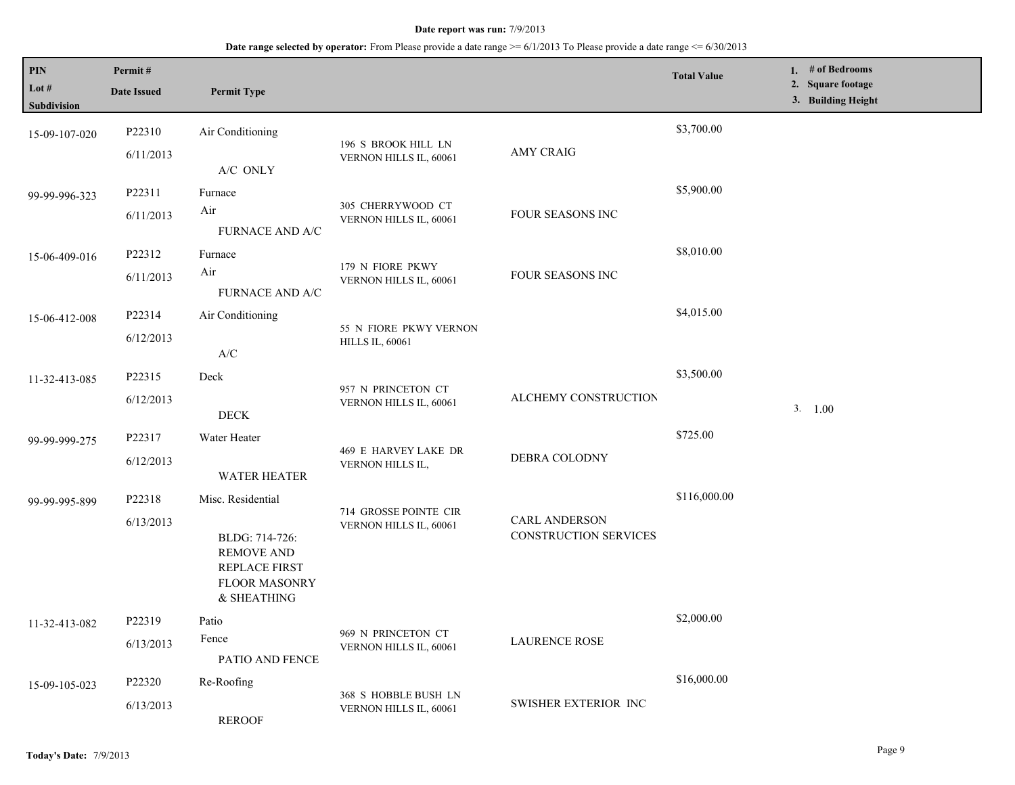| PIN<br>Lot #<br>Subdivision | Permit#<br><b>Date Issued</b> | <b>Permit Type</b>                                                                                               |                                                  |                                               | <b>Total Value</b> | 1. # of Bedrooms<br>2. Square footage<br>3. Building Height |
|-----------------------------|-------------------------------|------------------------------------------------------------------------------------------------------------------|--------------------------------------------------|-----------------------------------------------|--------------------|-------------------------------------------------------------|
| 15-09-107-020               | P22310<br>6/11/2013           | Air Conditioning                                                                                                 | 196 S BROOK HILL LN<br>VERNON HILLS IL, 60061    | <b>AMY CRAIG</b>                              | \$3,700.00         |                                                             |
| 99-99-996-323               | P22311<br>6/11/2013           | A/C ONLY<br>Furnace<br>Air<br>FURNACE AND A/C                                                                    | 305 CHERRYWOOD CT<br>VERNON HILLS IL, 60061      | FOUR SEASONS INC                              | \$5,900.00         |                                                             |
| 15-06-409-016               | P22312<br>6/11/2013           | Furnace<br>Air<br>FURNACE AND A/C                                                                                | 179 N FIORE PKWY<br>VERNON HILLS IL, 60061       | FOUR SEASONS INC                              | \$8,010.00         |                                                             |
| 15-06-412-008               | P22314<br>6/12/2013           | Air Conditioning<br>$\ensuremath{\mathsf{A}}\xspace/\ensuremath{\mathsf{C}}\xspace$                              | 55 N FIORE PKWY VERNON<br><b>HILLS IL, 60061</b> |                                               | \$4,015.00         |                                                             |
| 11-32-413-085               | P22315<br>6/12/2013           | Deck<br><b>DECK</b>                                                                                              | 957 N PRINCETON CT<br>VERNON HILLS IL, 60061     | ALCHEMY CONSTRUCTION                          | \$3,500.00         | 3. 1.00                                                     |
| 99-99-999-275               | P22317<br>6/12/2013           | Water Heater<br><b>WATER HEATER</b>                                                                              | 469 E HARVEY LAKE DR<br>VERNON HILLS IL,         | DEBRA COLODNY                                 | \$725.00           |                                                             |
| 99-99-995-899               | P22318<br>6/13/2013           | Misc. Residential<br>BLDG: 714-726:<br><b>REMOVE AND</b><br>REPLACE FIRST<br><b>FLOOR MASONRY</b><br>& SHEATHING | 714 GROSSE POINTE CIR<br>VERNON HILLS IL, 60061  | <b>CARL ANDERSON</b><br>CONSTRUCTION SERVICES | \$116,000.00       |                                                             |
| 11-32-413-082               | P22319<br>6/13/2013           | Patio<br>Fence<br>PATIO AND FENCE                                                                                | 969 N PRINCETON CT<br>VERNON HILLS IL, 60061     | <b>LAURENCE ROSE</b>                          | \$2,000.00         |                                                             |
| 15-09-105-023               | P22320<br>6/13/2013           | Re-Roofing<br><b>REROOF</b>                                                                                      | 368 S HOBBLE BUSH LN<br>VERNON HILLS IL, 60061   | <b>SWISHER EXTERIOR INC</b>                   | \$16,000.00        |                                                             |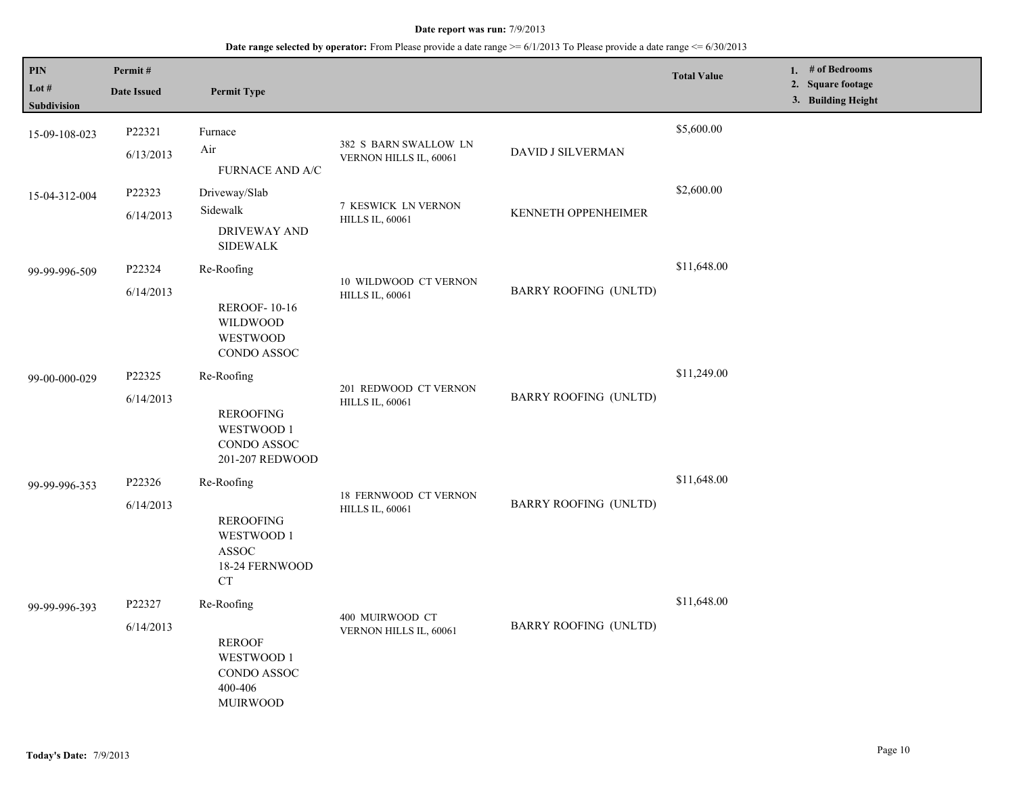| <b>PIN</b><br>Lot #<br>Subdivision | Permit#<br><b>Date Issued</b> | <b>Permit Type</b>                                                                          |                                                        |                              | <b>Total Value</b> | 1. $#$ of Bedrooms<br>2. Square footage<br>3. Building Height |
|------------------------------------|-------------------------------|---------------------------------------------------------------------------------------------|--------------------------------------------------------|------------------------------|--------------------|---------------------------------------------------------------|
| 15-09-108-023                      | P22321<br>6/13/2013           | Furnace<br>Air<br><b>FURNACE AND A/C</b>                                                    | 382 S BARN SWALLOW LN<br>VERNON HILLS IL, 60061        | DAVID J SILVERMAN            | \$5,600.00         |                                                               |
| 15-04-312-004                      | P22323<br>6/14/2013           | Driveway/Slab<br>Sidewalk<br>DRIVEWAY AND<br><b>SIDEWALK</b>                                | 7 KESWICK LN VERNON<br><b>HILLS IL, 60061</b>          | <b>KENNETH OPPENHEIMER</b>   | \$2,600.00         |                                                               |
| 99-99-996-509                      | P22324<br>6/14/2013           | Re-Roofing<br><b>REROOF-10-16</b><br><b>WILDWOOD</b><br><b>WESTWOOD</b><br>CONDO ASSOC      | 10 WILDWOOD CT VERNON<br><b>HILLS IL, 60061</b>        | <b>BARRY ROOFING (UNLTD)</b> | \$11,648.00        |                                                               |
| 99-00-000-029                      | P22325<br>6/14/2013           | Re-Roofing<br><b>REROOFING</b><br>WESTWOOD 1<br>CONDO ASSOC<br>201-207 REDWOOD              | 201 REDWOOD CT VERNON<br><b>HILLS IL, 60061</b>        | <b>BARRY ROOFING (UNLTD)</b> | \$11,249.00        |                                                               |
| 99-99-996-353                      | P22326<br>6/14/2013           | Re-Roofing<br><b>REROOFING</b><br>WESTWOOD 1<br><b>ASSOC</b><br>18-24 FERNWOOD<br><b>CT</b> | <b>18 FERNWOOD CT VERNON</b><br><b>HILLS IL, 60061</b> | <b>BARRY ROOFING (UNLTD)</b> | \$11,648.00        |                                                               |
| 99-99-996-393                      | P22327<br>6/14/2013           | Re-Roofing<br><b>REROOF</b><br>WESTWOOD 1<br>CONDO ASSOC<br>400-406<br><b>MUIRWOOD</b>      | 400 MUIRWOOD CT<br>VERNON HILLS IL, 60061              | <b>BARRY ROOFING (UNLTD)</b> | \$11,648.00        |                                                               |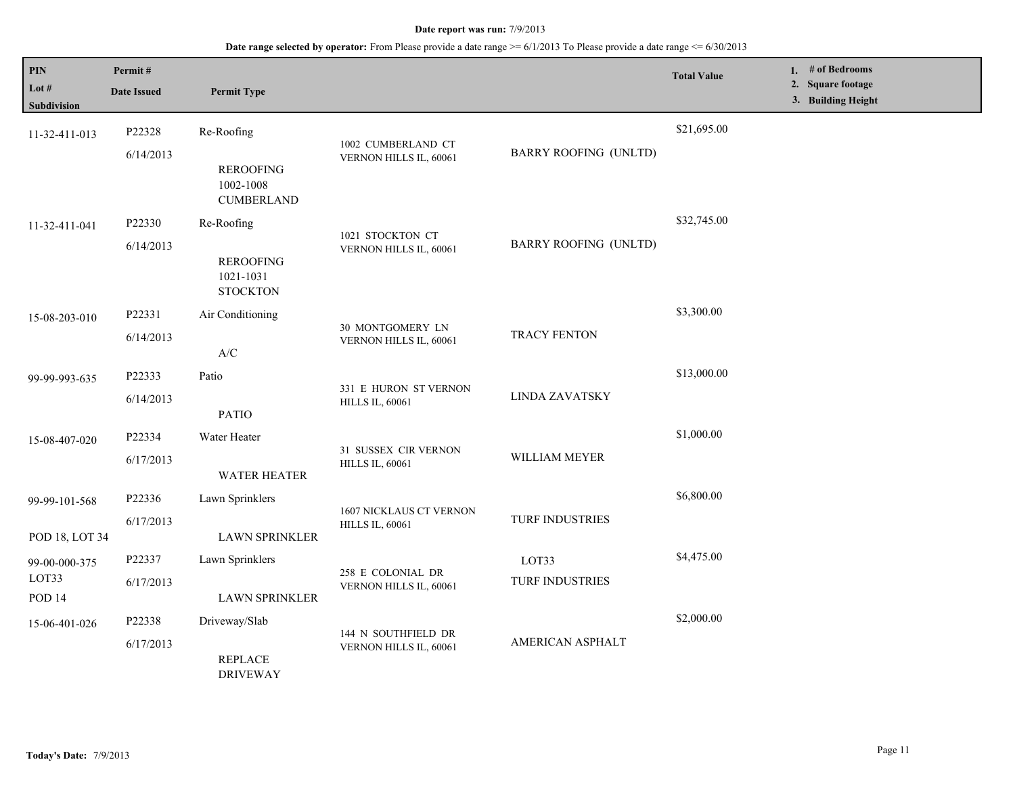| PIN<br>Lot $#$<br>Subdivision    | Permit#<br><b>Date Issued</b> | <b>Permit Type</b>                                               |                                                   |                              | <b>Total Value</b> | 1. $#$ of Bedrooms<br>2. Square footage<br>3. Building Height |
|----------------------------------|-------------------------------|------------------------------------------------------------------|---------------------------------------------------|------------------------------|--------------------|---------------------------------------------------------------|
| 11-32-411-013                    | P22328<br>6/14/2013           | Re-Roofing<br><b>REROOFING</b><br>1002-1008<br><b>CUMBERLAND</b> | 1002 CUMBERLAND CT<br>VERNON HILLS IL, 60061      | <b>BARRY ROOFING (UNLTD)</b> | \$21,695.00        |                                                               |
| 11-32-411-041                    | P22330<br>6/14/2013           | Re-Roofing<br><b>REROOFING</b><br>1021-1031<br><b>STOCKTON</b>   | 1021 STOCKTON CT<br>VERNON HILLS IL, 60061        | <b>BARRY ROOFING (UNLTD)</b> | \$32,745.00        |                                                               |
| 15-08-203-010                    | P22331<br>6/14/2013           | Air Conditioning<br>A/C                                          | 30 MONTGOMERY LN<br>VERNON HILLS IL, 60061        | <b>TRACY FENTON</b>          | \$3,300.00         |                                                               |
| 99-99-993-635                    | P22333<br>6/14/2013           | Patio<br><b>PATIO</b>                                            | 331 E HURON ST VERNON<br><b>HILLS IL, 60061</b>   | LINDA ZAVATSKY               | \$13,000.00        |                                                               |
| 15-08-407-020                    | P22334<br>6/17/2013           | Water Heater<br><b>WATER HEATER</b>                              | 31 SUSSEX CIR VERNON<br><b>HILLS IL, 60061</b>    | WILLIAM MEYER                | \$1,000.00         |                                                               |
| 99-99-101-568<br>POD 18, LOT 34  | P22336<br>6/17/2013           | Lawn Sprinklers<br><b>LAWN SPRINKLER</b>                         | 1607 NICKLAUS CT VERNON<br><b>HILLS IL, 60061</b> | TURF INDUSTRIES              | \$6,800.00         |                                                               |
| 99-00-000-375<br>LOT33<br>POD 14 | P22337<br>6/17/2013           | Lawn Sprinklers<br><b>LAWN SPRINKLER</b>                         | 258 E COLONIAL DR<br>VERNON HILLS IL, 60061       | LOT33<br>TURF INDUSTRIES     | \$4,475.00         |                                                               |
| 15-06-401-026                    | P22338<br>6/17/2013           | Driveway/Slab<br><b>REPLACE</b><br><b>DRIVEWAY</b>               | 144 N SOUTHFIELD DR<br>VERNON HILLS IL, 60061     | AMERICAN ASPHALT             | \$2,000.00         |                                                               |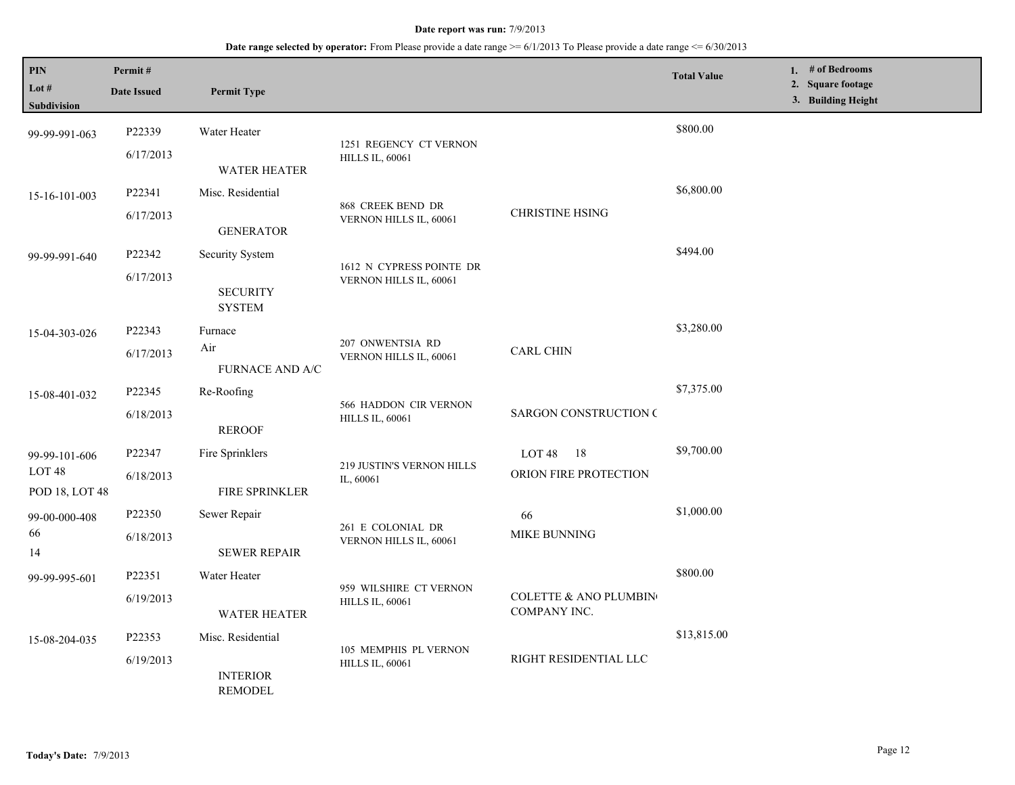| PIN<br>Lot #<br>Subdivision                          | Permit#<br><b>Date Issued</b> | <b>Permit Type</b>                                  |                                                    |                                                  | <b>Total Value</b> | 1. $#$ of Bedrooms<br>2. Square footage<br>3. Building Height |
|------------------------------------------------------|-------------------------------|-----------------------------------------------------|----------------------------------------------------|--------------------------------------------------|--------------------|---------------------------------------------------------------|
| 99-99-991-063                                        | P22339<br>6/17/2013           | Water Heater<br>WATER HEATER                        | 1251 REGENCY CT VERNON<br><b>HILLS IL, 60061</b>   |                                                  | \$800.00           |                                                               |
| 15-16-101-003                                        | P22341<br>6/17/2013           | Misc. Residential<br><b>GENERATOR</b>               | 868 CREEK BEND DR<br>VERNON HILLS IL, 60061        | <b>CHRISTINE HSING</b>                           | \$6,800.00         |                                                               |
| 99-99-991-640                                        | P22342<br>6/17/2013           | Security System<br><b>SECURITY</b><br><b>SYSTEM</b> | 1612 N CYPRESS POINTE DR<br>VERNON HILLS IL, 60061 |                                                  | \$494.00           |                                                               |
| 15-04-303-026                                        | P22343<br>6/17/2013           | Furnace<br>Air<br><b>FURNACE AND A/C</b>            | 207 ONWENTSIA RD<br>VERNON HILLS IL, 60061         | <b>CARL CHIN</b>                                 | \$3,280.00         |                                                               |
| 15-08-401-032                                        | P22345<br>6/18/2013           | Re-Roofing<br><b>REROOF</b>                         | 566 HADDON CIR VERNON<br><b>HILLS IL, 60061</b>    | <b>SARGON CONSTRUCTION C</b>                     | \$7,375.00         |                                                               |
| 99-99-101-606<br>LOT <sub>48</sub><br>POD 18, LOT 48 | P22347<br>6/18/2013           | Fire Sprinklers<br><b>FIRE SPRINKLER</b>            | 219 JUSTIN'S VERNON HILLS<br>IL, 60061             | LOT 48 18<br>ORION FIRE PROTECTION               | \$9,700.00         |                                                               |
| 99-00-000-408<br>66<br>14                            | P22350<br>6/18/2013           | Sewer Repair<br><b>SEWER REPAIR</b>                 | 261 E COLONIAL DR<br>VERNON HILLS IL, 60061        | 66<br>MIKE BUNNING                               | \$1,000.00         |                                                               |
| 99-99-995-601                                        | P22351<br>6/19/2013           | Water Heater<br><b>WATER HEATER</b>                 | 959 WILSHIRE CT VERNON<br><b>HILLS IL, 60061</b>   | <b>COLETTE &amp; ANO PLUMBIN</b><br>COMPANY INC. | \$800.00           |                                                               |
| 15-08-204-035                                        | P22353<br>6/19/2013           | Misc. Residential<br><b>INTERIOR</b><br>REMODEL     | 105 MEMPHIS PL VERNON<br><b>HILLS IL, 60061</b>    | RIGHT RESIDENTIAL LLC                            | \$13,815.00        |                                                               |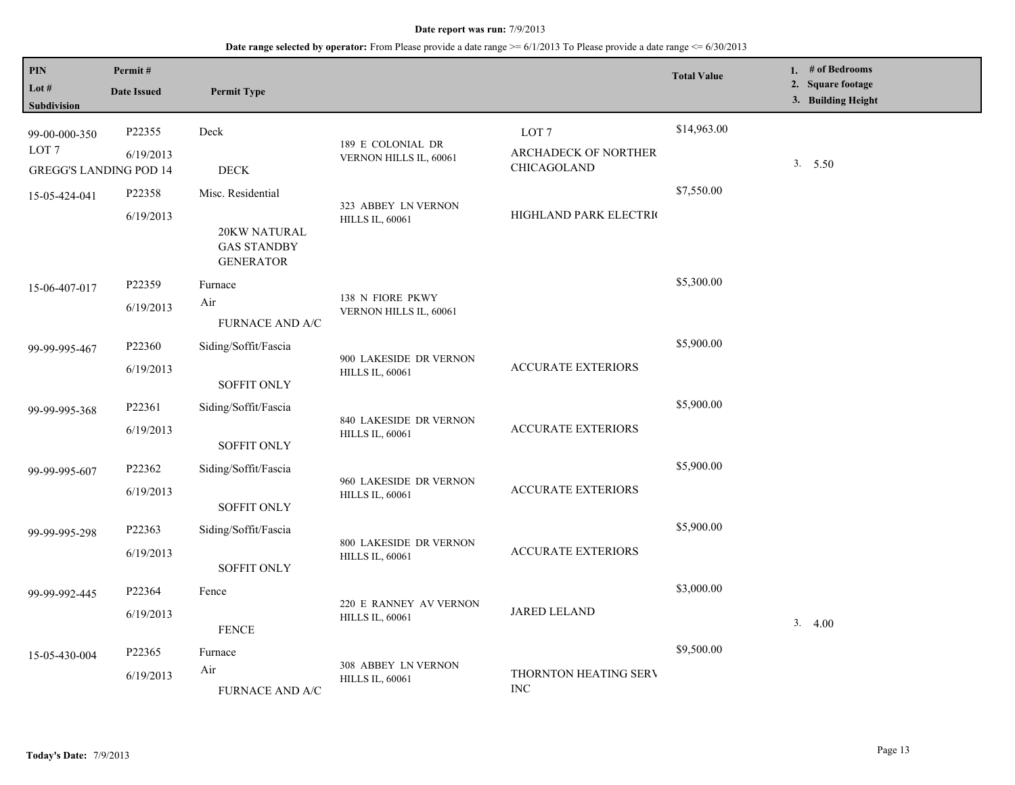| PIN<br>Lot #<br>Subdivision                                        | Permit#<br><b>Date Issued</b> | <b>Permit Type</b>                                                          |                                                  |                                                         | <b>Total Value</b> | 1. # of Bedrooms<br>2. Square footage<br>3. Building Height |
|--------------------------------------------------------------------|-------------------------------|-----------------------------------------------------------------------------|--------------------------------------------------|---------------------------------------------------------|--------------------|-------------------------------------------------------------|
| 99-00-000-350<br>LOT <sub>7</sub><br><b>GREGG'S LANDING POD 14</b> | P22355<br>6/19/2013           | Deck<br><b>DECK</b>                                                         | 189 E COLONIAL DR<br>VERNON HILLS IL, 60061      | LOT <sub>7</sub><br>ARCHADECK OF NORTHER<br>CHICAGOLAND | \$14,963.00        | 3.550                                                       |
| 15-05-424-041                                                      | P22358<br>6/19/2013           | Misc. Residential<br>20KW NATURAL<br><b>GAS STANDBY</b><br><b>GENERATOR</b> | 323 ABBEY LN VERNON<br><b>HILLS IL, 60061</b>    | HIGHLAND PARK ELECTRIC                                  | \$7,550.00         |                                                             |
| 15-06-407-017                                                      | P22359<br>6/19/2013           | Furnace<br>Air<br><b>FURNACE AND A/C</b>                                    | 138 N FIORE PKWY<br>VERNON HILLS IL, 60061       |                                                         | \$5,300.00         |                                                             |
| 99-99-995-467                                                      | P22360<br>6/19/2013           | Siding/Soffit/Fascia<br>SOFFIT ONLY                                         | 900 LAKESIDE DR VERNON<br><b>HILLS IL, 60061</b> | <b>ACCURATE EXTERIORS</b>                               | \$5,900.00         |                                                             |
| 99-99-995-368                                                      | P22361<br>6/19/2013           | Siding/Soffit/Fascia<br><b>SOFFIT ONLY</b>                                  | 840 LAKESIDE DR VERNON<br><b>HILLS IL, 60061</b> | <b>ACCURATE EXTERIORS</b>                               | \$5,900.00         |                                                             |
| 99-99-995-607                                                      | P22362<br>6/19/2013           | Siding/Soffit/Fascia<br><b>SOFFIT ONLY</b>                                  | 960 LAKESIDE DR VERNON<br><b>HILLS IL, 60061</b> | <b>ACCURATE EXTERIORS</b>                               | \$5,900.00         |                                                             |
| 99-99-995-298                                                      | P22363<br>6/19/2013           | Siding/Soffit/Fascia<br><b>SOFFIT ONLY</b>                                  | 800 LAKESIDE DR VERNON<br><b>HILLS IL, 60061</b> | <b>ACCURATE EXTERIORS</b>                               | \$5,900.00         |                                                             |
| 99-99-992-445                                                      | P22364<br>6/19/2013           | Fence<br><b>FENCE</b>                                                       | 220 E RANNEY AV VERNON<br><b>HILLS IL, 60061</b> | <b>JARED LELAND</b>                                     | \$3,000.00         | 3.4.00                                                      |
| 15-05-430-004                                                      | P22365<br>6/19/2013           | Furnace<br>Air<br><b>FURNACE AND A/C</b>                                    | 308 ABBEY LN VERNON<br><b>HILLS IL, 60061</b>    | THORNTON HEATING SERV<br><b>INC</b>                     | \$9,500.00         |                                                             |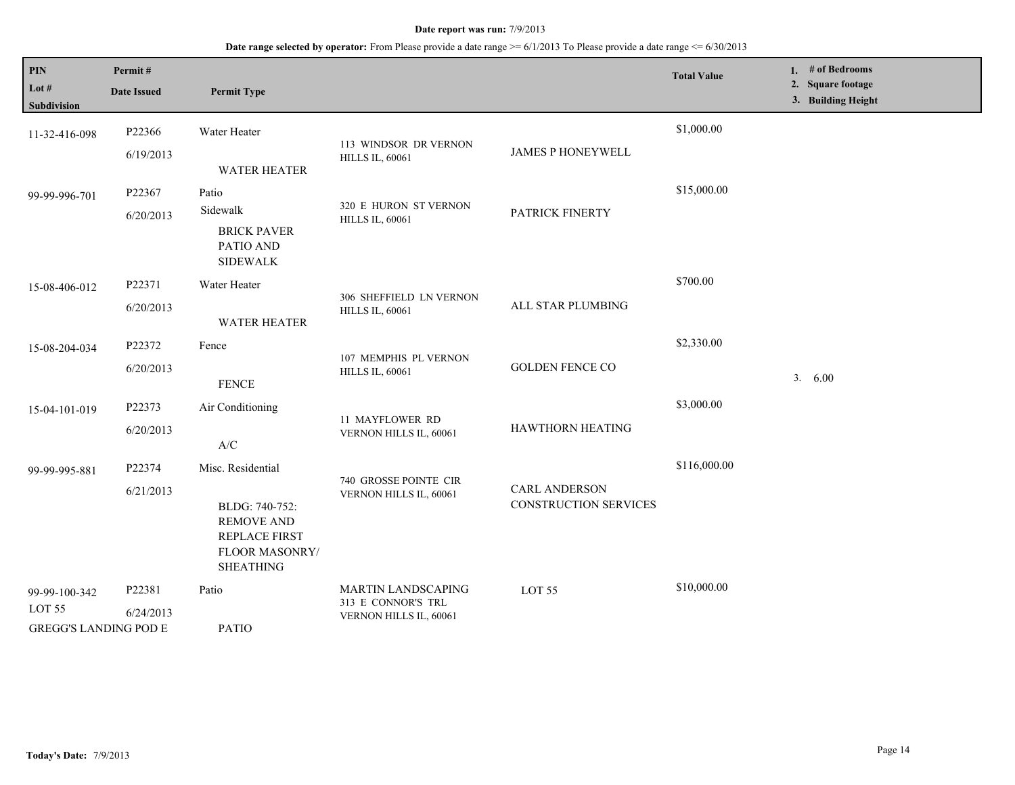| PIN<br>Lot #<br><b>Subdivision</b>                                 | Permit#<br><b>Date Issued</b> | <b>Permit Type</b>                                                                                                     |                                                                           |                                               | <b>Total Value</b> | 1. # of Bedrooms<br>2. Square footage<br>3. Building Height |
|--------------------------------------------------------------------|-------------------------------|------------------------------------------------------------------------------------------------------------------------|---------------------------------------------------------------------------|-----------------------------------------------|--------------------|-------------------------------------------------------------|
| 11-32-416-098                                                      | P22366<br>6/19/2013           | Water Heater<br><b>WATER HEATER</b>                                                                                    | 113 WINDSOR DR VERNON<br><b>HILLS IL, 60061</b>                           | <b>JAMES P HONEYWELL</b>                      | \$1,000.00         |                                                             |
| 99-99-996-701                                                      | P22367<br>6/20/2013           | Patio<br>Sidewalk<br><b>BRICK PAVER</b><br>PATIO AND<br><b>SIDEWALK</b>                                                | 320 E HURON ST VERNON<br><b>HILLS IL, 60061</b>                           | PATRICK FINERTY                               | \$15,000.00        |                                                             |
| 15-08-406-012                                                      | P22371<br>6/20/2013           | Water Heater<br><b>WATER HEATER</b>                                                                                    | 306 SHEFFIELD LN VERNON<br><b>HILLS IL, 60061</b>                         | ALL STAR PLUMBING                             | \$700.00           |                                                             |
| 15-08-204-034                                                      | P22372<br>6/20/2013           | Fence<br><b>FENCE</b>                                                                                                  | 107 MEMPHIS PL VERNON<br><b>HILLS IL, 60061</b>                           | <b>GOLDEN FENCE CO</b>                        | \$2,330.00         | 3.<br>6.00                                                  |
| 15-04-101-019                                                      | P22373<br>6/20/2013           | Air Conditioning<br>$\mathbf{A}/\mathbf{C}$                                                                            | 11 MAYFLOWER RD<br>VERNON HILLS IL, 60061                                 | HAWTHORN HEATING                              | \$3,000.00         |                                                             |
| 99-99-995-881                                                      | P22374<br>6/21/2013           | Misc. Residential<br>BLDG: 740-752:<br><b>REMOVE AND</b><br><b>REPLACE FIRST</b><br>FLOOR MASONRY/<br><b>SHEATHING</b> | 740 GROSSE POINTE CIR<br>VERNON HILLS IL, 60061                           | <b>CARL ANDERSON</b><br>CONSTRUCTION SERVICES | \$116,000.00       |                                                             |
| 99-99-100-342<br>LOT <sub>55</sub><br><b>GREGG'S LANDING POD E</b> | P22381<br>6/24/2013           | Patio<br><b>PATIO</b>                                                                                                  | <b>MARTIN LANDSCAPING</b><br>313 E CONNOR'S TRL<br>VERNON HILLS IL, 60061 | LOT <sub>55</sub>                             | \$10,000.00        |                                                             |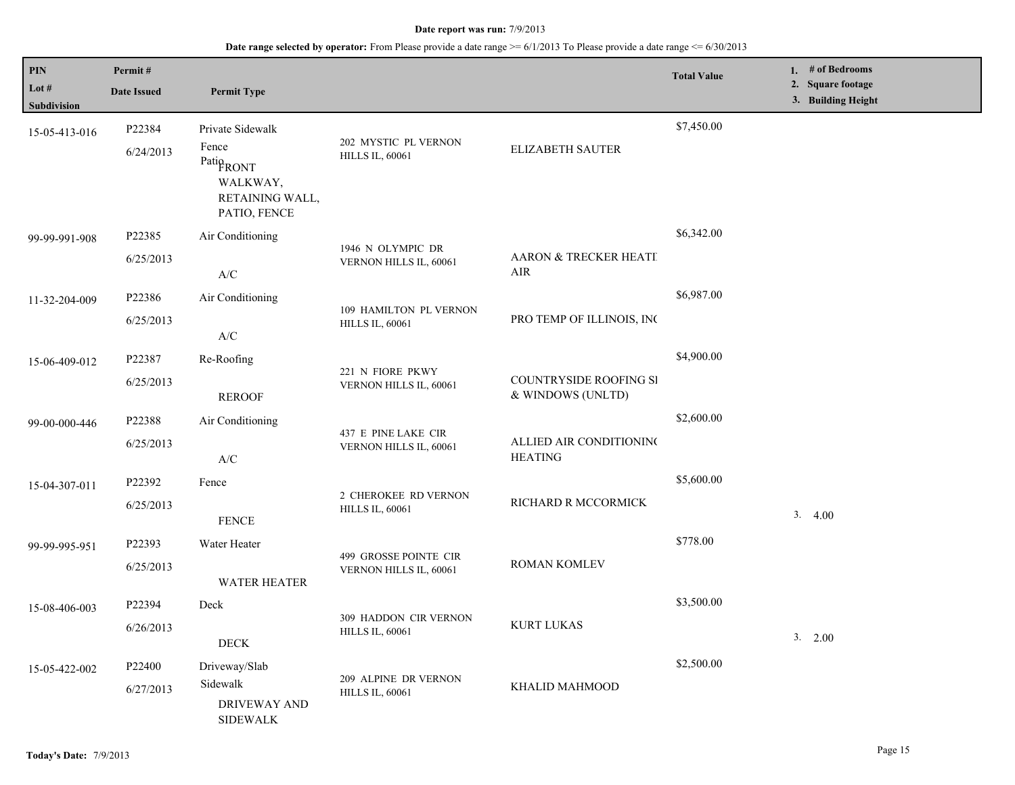| PIN                    | Permit#                                                         |                                                                               |                                                 |                                             | <b>Total Value</b> | 1. # of Bedrooms                        |
|------------------------|-----------------------------------------------------------------|-------------------------------------------------------------------------------|-------------------------------------------------|---------------------------------------------|--------------------|-----------------------------------------|
| Lot $#$<br>Subdivision | <b>Date Issued</b>                                              | <b>Permit Type</b>                                                            |                                                 |                                             |                    | 2. Square footage<br>3. Building Height |
| 15-05-413-016          | P22384                                                          | Private Sidewalk                                                              |                                                 |                                             | \$7,450.00         |                                         |
|                        | 6/24/2013                                                       | Fence<br>Patio <sub>RONT</sub><br>WALKWAY,<br>RETAINING WALL,<br>PATIO, FENCE | 202 MYSTIC PL VERNON<br><b>HILLS IL, 60061</b>  | ELIZABETH SAUTER                            |                    |                                         |
| 99-99-991-908          | P22385                                                          | Air Conditioning                                                              |                                                 |                                             | \$6,342.00         |                                         |
|                        | 6/25/2013                                                       | A/C                                                                           | 1946 N OLYMPIC DR<br>VERNON HILLS IL, 60061     | AARON & TRECKER HEATI<br>AIR                |                    |                                         |
| 11-32-204-009          | P22386                                                          | Air Conditioning                                                              | 109 HAMILTON PL VERNON                          |                                             | \$6,987.00         |                                         |
|                        | 6/25/2013                                                       | $\ensuremath{\text{A}}\xspace/\ensuremath{\text{C}}\xspace$                   | <b>HILLS IL, 60061</b>                          | PRO TEMP OF ILLINOIS, INC                   |                    |                                         |
| 15-06-409-012          | P22387                                                          | Re-Roofing                                                                    | 221 N FIORE PKWY                                |                                             | \$4,900.00         |                                         |
|                        | 6/25/2013                                                       | <b>REROOF</b>                                                                 | VERNON HILLS IL, 60061                          | COUNTRYSIDE ROOFING SI<br>& WINDOWS (UNLTD) |                    |                                         |
| 99-00-000-446          | P22388                                                          | Air Conditioning                                                              | 437 E PINE LAKE CIR                             |                                             | \$2,600.00         |                                         |
|                        | 6/25/2013                                                       | $\ensuremath{\text{A}}\xspace/\ensuremath{\text{C}}\xspace$                   | VERNON HILLS IL, 60061                          | ALLIED AIR CONDITIONING<br><b>HEATING</b>   |                    |                                         |
| 15-04-307-011          | P22392                                                          | Fence                                                                         | 2 CHEROKEE RD VERNON                            |                                             | \$5,600.00         |                                         |
|                        | 6/25/2013                                                       | <b>FENCE</b>                                                                  | <b>HILLS IL, 60061</b>                          | RICHARD R MCCORMICK                         |                    | 3.4.00                                  |
| 99-99-995-951          | P22393                                                          | Water Heater                                                                  | 499 GROSSE POINTE CIR                           |                                             | \$778.00           |                                         |
|                        | 6/25/2013                                                       | <b>WATER HEATER</b>                                                           | VERNON HILLS IL, 60061                          | ROMAN KOMLEV                                |                    |                                         |
| 15-08-406-003          | P22394                                                          | Deck                                                                          |                                                 | <b>KURT LUKAS</b>                           | \$3,500.00         |                                         |
|                        | 6/26/2013                                                       | <b>DECK</b>                                                                   | 309 HADDON CIR VERNON<br><b>HILLS IL, 60061</b> |                                             |                    | 3. 2.00                                 |
| 15-05-422-002          | P <sub>22400</sub>                                              | Driveway/Slab                                                                 | 209 ALPINE DR VERNON                            |                                             | \$2,500.00         |                                         |
|                        | Sidewalk<br>6/27/2013<br><b>DRIVEWAY AND</b><br><b>SIDEWALK</b> | KHALID MAHMOOD<br><b>HILLS IL, 60061</b>                                      |                                                 |                                             |                    |                                         |